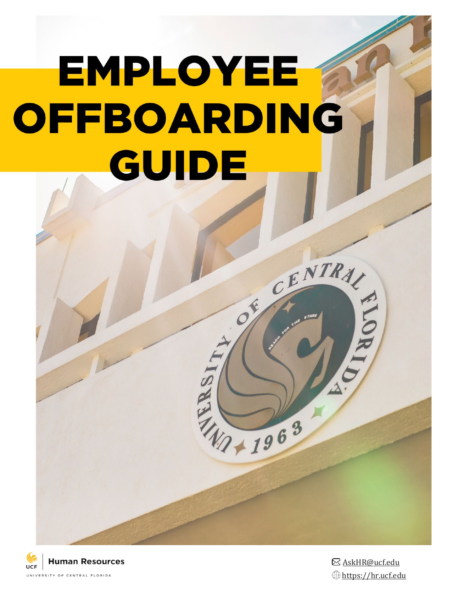# EMPLOYEE OFFBOARDING GUIDE



[AskHR@ucf.edu](mailto:AskHR@ucf.edu)  [https://hr.ucf.edu](https://hr.ucf.edu/)

CENTRAL

 $\delta^2$ 

W1 + 1963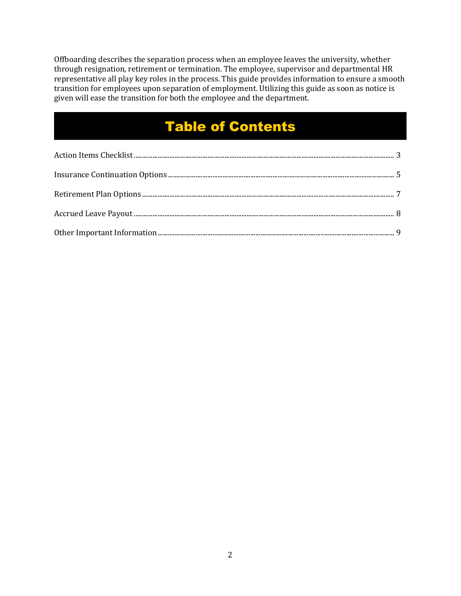Offboarding describes the separation process when an employee leaves the university, whether through resignation, retirement or termination. The employee, supervisor and departmental HR representative all play key roles in the process. This guide provides information to ensure a smooth transition for employees upon separation of employment. Utilizing this guide as soon as notice is given will ease the transition for both the employee and the department.

## Table of Contents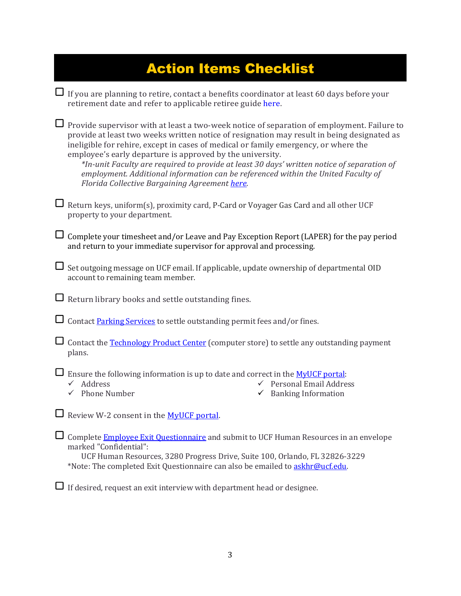| <b>Action Items Checklist</b>                                                                                                                                                                                                                                                                                                                                                                                                                                                                                                                                                    |
|----------------------------------------------------------------------------------------------------------------------------------------------------------------------------------------------------------------------------------------------------------------------------------------------------------------------------------------------------------------------------------------------------------------------------------------------------------------------------------------------------------------------------------------------------------------------------------|
| If you are planning to retire, contact a benefits coordinator at least 60 days before your<br>retirement date and refer to applicable retiree guide here.                                                                                                                                                                                                                                                                                                                                                                                                                        |
| Provide supervisor with at least a two-week notice of separation of employment. Failure to<br>provide at least two weeks written notice of resignation may result in being designated as<br>ineligible for rehire, except in cases of medical or family emergency, or where the<br>employee's early departure is approved by the university.<br>*In-unit Faculty are required to provide at least 30 days' written notice of separation of<br>employment. Additional information can be referenced within the United Faculty of<br>Florida Collective Bargaining Agreement here. |
| Return keys, uniform(s), proximity card, P-Card or Voyager Gas Card and all other UCF<br>property to your department.                                                                                                                                                                                                                                                                                                                                                                                                                                                            |
| Complete your timesheet and/or Leave and Pay Exception Report (LAPER) for the pay period<br>and return to your immediate supervisor for approval and processing.                                                                                                                                                                                                                                                                                                                                                                                                                 |
| Set outgoing message on UCF email. If applicable, update ownership of departmental OID<br>account to remaining team member.                                                                                                                                                                                                                                                                                                                                                                                                                                                      |
| Return library books and settle outstanding fines.                                                                                                                                                                                                                                                                                                                                                                                                                                                                                                                               |
| Contact Parking Services to settle outstanding permit fees and/or fines.                                                                                                                                                                                                                                                                                                                                                                                                                                                                                                         |
| Contact the <b>Technology Product Center</b> (computer store) to settle any outstanding payment<br>plans.                                                                                                                                                                                                                                                                                                                                                                                                                                                                        |
| $\Box$ Ensure the following information is up to date and correct in the MyUCF portal:<br>Personal Email Address<br>Address<br>$\checkmark$ Phone Number<br>$\checkmark$ Banking Information                                                                                                                                                                                                                                                                                                                                                                                     |
| Review W-2 consent in the MyUCF portal.                                                                                                                                                                                                                                                                                                                                                                                                                                                                                                                                          |
| Complete Employee Exit Questionnaire and submit to UCF Human Resources in an envelope<br>marked "Confidential":<br>UCF Human Resources, 3280 Progress Drive, Suite 100, Orlando, FL 32826-3229<br>*Note: The completed Exit Questionnaire can also be emailed to askhr@ucf.edu.                                                                                                                                                                                                                                                                                                  |

 $\Box$  If desired, request an exit interview with department head or designee.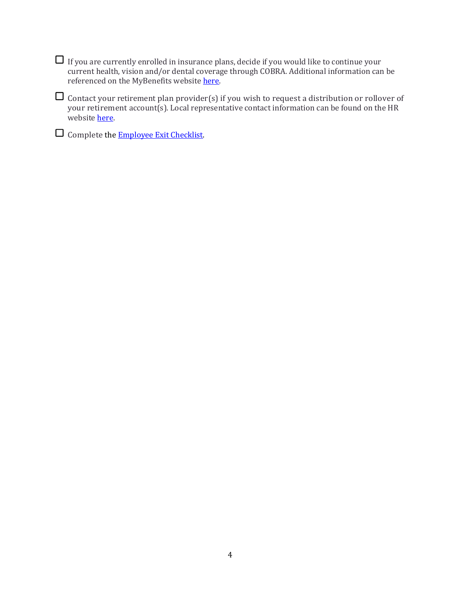| $\Box$ If you are currently enrolled in insurance plans, decide if you would like to continue your |
|----------------------------------------------------------------------------------------------------|
| current health, vision and/or dental coverage through COBRA. Additional information can be         |
| referenced on the MyBenefits website here.                                                         |

Contact your retirement plan provider(s) if you wish to request a distribution or rollover of your retirement account(s). Local representative contact information can be found on the HR website **here**.

Complete the [Employee Exit Checklist.](https://hr.ucf.edu/files/Exit-Checklist.pdf)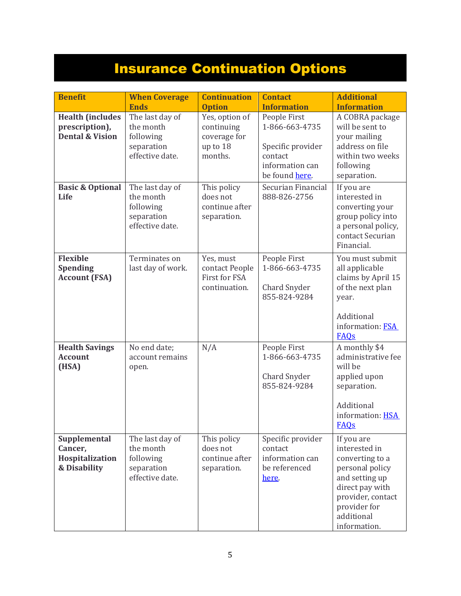## Insurance Continuation Options

| <b>Benefit</b>                                                          | <b>When Coverage</b><br><b>Ends</b>                                        | <b>Continuation</b><br><b>Option</b>                                | <b>Contact</b><br><b>Information</b>                                                                | <b>Additional</b><br><b>Information</b>                                                                                                                                   |
|-------------------------------------------------------------------------|----------------------------------------------------------------------------|---------------------------------------------------------------------|-----------------------------------------------------------------------------------------------------|---------------------------------------------------------------------------------------------------------------------------------------------------------------------------|
| <b>Health (includes</b><br>prescription),<br><b>Dental &amp; Vision</b> | The last day of<br>the month<br>following<br>separation<br>effective date. | Yes, option of<br>continuing<br>coverage for<br>up to 18<br>months. | People First<br>1-866-663-4735<br>Specific provider<br>contact<br>information can<br>be found here. | A COBRA package<br>will be sent to<br>your mailing<br>address on file<br>within two weeks<br>following<br>separation.                                                     |
| <b>Basic &amp; Optional</b><br>Life                                     | The last day of<br>the month<br>following<br>separation<br>effective date. | This policy<br>does not<br>continue after<br>separation.            | Securian Financial<br>888-826-2756                                                                  | If you are<br>interested in<br>converting your<br>group policy into<br>a personal policy,<br>contact Securian<br>Financial.                                               |
| <b>Flexible</b><br><b>Spending</b><br><b>Account (FSA)</b>              | Terminates on<br>last day of work.                                         | Yes, must<br>contact People<br>First for FSA<br>continuation.       | People First<br>1-866-663-4735<br><b>Chard Snyder</b><br>855-824-9284                               | You must submit<br>all applicable<br>claims by April 15<br>of the next plan<br>year.<br>Additional<br>information: FSA<br>FAQs                                            |
| <b>Health Savings</b><br><b>Account</b><br>(HSA)                        | No end date;<br>account remains<br>open.                                   | N/A                                                                 | People First<br>1-866-663-4735<br><b>Chard Snyder</b><br>855-824-9284                               | A monthly \$4<br>administrative fee<br>will be<br>applied upon<br>separation.<br>Additional<br>information: HSA<br><b>FAQs</b>                                            |
| Supplemental<br>Cancer,<br>Hospitalization<br>& Disability              | The last day of<br>the month<br>following<br>separation<br>effective date. | This policy<br>does not<br>continue after<br>separation.            | Specific provider<br>contact<br>information can<br>be referenced<br>here.                           | If you are<br>interested in<br>converting to a<br>personal policy<br>and setting up<br>direct pay with<br>provider, contact<br>provider for<br>additional<br>information. |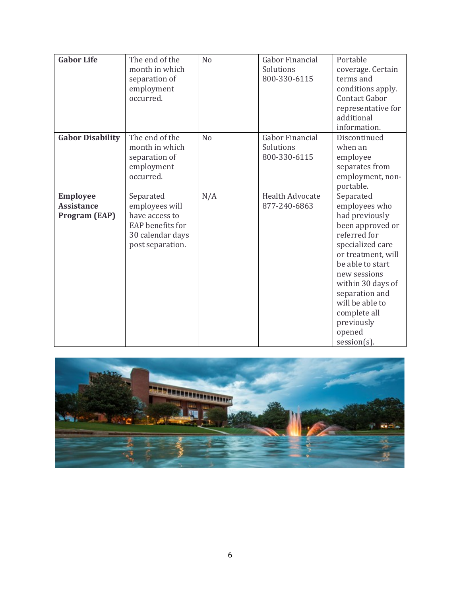| <b>Gabor Life</b>                                            | The end of the<br>month in which<br>separation of<br>employment<br>occurred.                              | N <sub>o</sub> | <b>Gabor Financial</b><br>Solutions<br>800-330-6115 | Portable<br>coverage. Certain<br>terms and<br>conditions apply.<br><b>Contact Gabor</b><br>representative for<br>additional<br>information.                                                                                                                                        |
|--------------------------------------------------------------|-----------------------------------------------------------------------------------------------------------|----------------|-----------------------------------------------------|------------------------------------------------------------------------------------------------------------------------------------------------------------------------------------------------------------------------------------------------------------------------------------|
| <b>Gabor Disability</b>                                      | The end of the<br>month in which<br>separation of<br>employment<br>occurred.                              | N <sub>o</sub> | <b>Gabor Financial</b><br>Solutions<br>800-330-6115 | Discontinued<br>when an<br>employee<br>separates from<br>employment, non-<br>portable.                                                                                                                                                                                             |
| <b>Employee</b><br><b>Assistance</b><br><b>Program (EAP)</b> | Separated<br>employees will<br>have access to<br>EAP benefits for<br>30 calendar days<br>post separation. | N/A            | <b>Health Advocate</b><br>877-240-6863              | Separated<br>employees who<br>had previously<br>been approved or<br>referred for<br>specialized care<br>or treatment, will<br>be able to start<br>new sessions<br>within 30 days of<br>separation and<br>will be able to<br>complete all<br>previously<br>opened<br>$session(s)$ . |

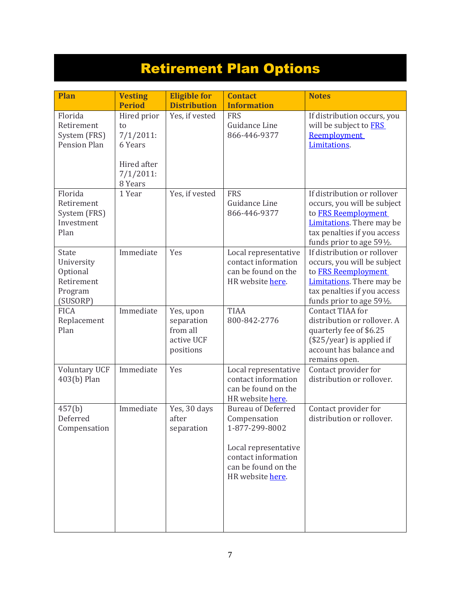# Retirement Plan Options

| <b>Plan</b>                                                                 | <b>Vesting</b><br><b>Period</b>                                                        | <b>Eligible for</b><br><b>Distribution</b>                     | <b>Contact</b><br><b>Information</b>                                                                                                                  | <b>Notes</b>                                                                                                                                                                       |
|-----------------------------------------------------------------------------|----------------------------------------------------------------------------------------|----------------------------------------------------------------|-------------------------------------------------------------------------------------------------------------------------------------------------------|------------------------------------------------------------------------------------------------------------------------------------------------------------------------------------|
| Florida<br>Retirement<br>System (FRS)<br><b>Pension Plan</b>                | Hired prior<br>to<br>$7/1/2011$ :<br>6 Years<br>Hired after<br>$7/1/2011$ :<br>8 Years | Yes, if vested                                                 | <b>FRS</b><br>Guidance Line<br>866-446-9377                                                                                                           | If distribution occurs, you<br>will be subject to FRS<br>Reemployment<br>Limitations.                                                                                              |
| Florida<br>Retirement<br>System (FRS)<br>Investment<br>Plan                 | 1 Year                                                                                 | Yes, if vested                                                 | <b>FRS</b><br>Guidance Line<br>866-446-9377                                                                                                           | If distribution or rollover<br>occurs, you will be subject<br>to FRS Reemployment<br><b>Limitations</b> . There may be<br>tax penalties if you access<br>funds prior to age 591/2. |
| <b>State</b><br>University<br>Optional<br>Retirement<br>Program<br>(SUSORP) | Immediate                                                                              | Yes                                                            | Local representative<br>contact information<br>can be found on the<br>HR website here.                                                                | If distribution or rollover<br>occurs, you will be subject<br>to FRS Reemployment<br><b>Limitations</b> . There may be<br>tax penalties if you access<br>funds prior to age 591/2. |
| <b>FICA</b><br>Replacement<br>Plan                                          | Immediate                                                                              | Yes, upon<br>separation<br>from all<br>active UCF<br>positions | <b>TIAA</b><br>800-842-2776                                                                                                                           | Contact TIAA for<br>distribution or rollover. A<br>quarterly fee of \$6.25<br>$(\$25/year)$ is applied if<br>account has balance and<br>remains open.                              |
| <b>Voluntary UCF</b><br>403(b) Plan                                         | Immediate                                                                              | Yes                                                            | Local representative<br>contact information<br>can be found on the<br>HR website here.                                                                | Contact provider for<br>distribution or rollover.                                                                                                                                  |
| 457(b)<br>Deferred<br>Compensation                                          | Immediate                                                                              | Yes, 30 days<br>after<br>separation                            | <b>Bureau of Deferred</b><br>Compensation<br>1-877-299-8002<br>Local representative<br>contact information<br>can be found on the<br>HR website here. | Contact provider for<br>distribution or rollover.                                                                                                                                  |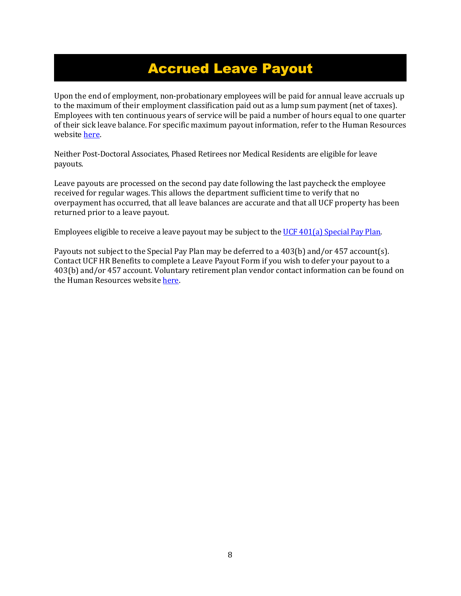### Accrued Leave Payout

Upon the end of employment, non-probationary employees will be paid for annual leave accruals up to the maximum of their employment classification paid out as a lump sum payment (net of taxes). Employees with ten continuous years of service will be paid a number of hours equal to one quarter of their sick leave balance. For specific maximum payout information, refer to the Human Resources website [here.](https://hr.ucf.edu/current-employees/leave-and-general-attendance-information/#accruals)

Neither Post-Doctoral Associates, Phased Retirees nor Medical Residents are eligible for leave payouts.

Leave payouts are processed on the second pay date following the last paycheck the employee received for regular wages. This allows the department sufficient time to verify that no overpayment has occurred, that all leave balances are accurate and that all UCF property has been returned prior to a leave payout.

Employees eligible to receive a leave payout may be subject to th[e UCF 401\(a\) Special Pay Plan.](https://hr.ucf.edu/files/SPP401a.pdf)

Payouts not subject to the Special Pay Plan may be deferred to a 403(b) and/or 457 account(s). Contact UCF HR Benefits to complete a Leave Payout Form if you wish to defer your payout to a 403(b) and/or 457 account. Voluntary retirement plan vendor contact information can be found on the Human Resources website [here.](http://hr.ucf.edu/current-employees/retirement/)